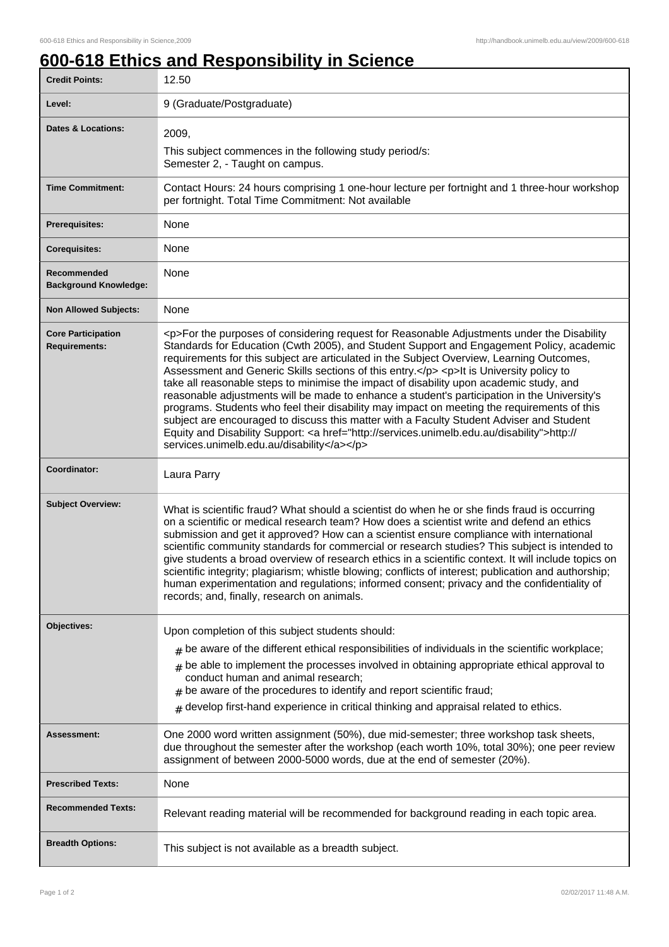## **600-618 Ethics and Responsibility in Science**

| <b>Credit Points:</b>                             | 12.50                                                                                                                                                                                                                                                                                                                                                                                                                                                                                                                                                                                                                                                                                                                                                                                                                                                                                                                        |
|---------------------------------------------------|------------------------------------------------------------------------------------------------------------------------------------------------------------------------------------------------------------------------------------------------------------------------------------------------------------------------------------------------------------------------------------------------------------------------------------------------------------------------------------------------------------------------------------------------------------------------------------------------------------------------------------------------------------------------------------------------------------------------------------------------------------------------------------------------------------------------------------------------------------------------------------------------------------------------------|
| Level:                                            | 9 (Graduate/Postgraduate)                                                                                                                                                                                                                                                                                                                                                                                                                                                                                                                                                                                                                                                                                                                                                                                                                                                                                                    |
| <b>Dates &amp; Locations:</b>                     | 2009,                                                                                                                                                                                                                                                                                                                                                                                                                                                                                                                                                                                                                                                                                                                                                                                                                                                                                                                        |
|                                                   | This subject commences in the following study period/s:<br>Semester 2, - Taught on campus.                                                                                                                                                                                                                                                                                                                                                                                                                                                                                                                                                                                                                                                                                                                                                                                                                                   |
| <b>Time Commitment:</b>                           | Contact Hours: 24 hours comprising 1 one-hour lecture per fortnight and 1 three-hour workshop<br>per fortnight. Total Time Commitment: Not available                                                                                                                                                                                                                                                                                                                                                                                                                                                                                                                                                                                                                                                                                                                                                                         |
| Prerequisites:                                    | None                                                                                                                                                                                                                                                                                                                                                                                                                                                                                                                                                                                                                                                                                                                                                                                                                                                                                                                         |
| <b>Corequisites:</b>                              | None                                                                                                                                                                                                                                                                                                                                                                                                                                                                                                                                                                                                                                                                                                                                                                                                                                                                                                                         |
| Recommended<br><b>Background Knowledge:</b>       | None                                                                                                                                                                                                                                                                                                                                                                                                                                                                                                                                                                                                                                                                                                                                                                                                                                                                                                                         |
| <b>Non Allowed Subjects:</b>                      | None                                                                                                                                                                                                                                                                                                                                                                                                                                                                                                                                                                                                                                                                                                                                                                                                                                                                                                                         |
| <b>Core Participation</b><br><b>Requirements:</b> | <p>For the purposes of considering request for Reasonable Adjustments under the Disability<br/>Standards for Education (Cwth 2005), and Student Support and Engagement Policy, academic<br/>requirements for this subject are articulated in the Subject Overview, Learning Outcomes,<br/>Assessment and Generic Skills sections of this entry.</p> <p>lt is University policy to<br/>take all reasonable steps to minimise the impact of disability upon academic study, and<br/>reasonable adjustments will be made to enhance a student's participation in the University's<br/>programs. Students who feel their disability may impact on meeting the requirements of this<br/>subject are encouraged to discuss this matter with a Faculty Student Adviser and Student<br/>Equity and Disability Support: &lt; a href="http://services.unimelb.edu.au/disability"&gt;http://<br/>services.unimelb.edu.au/disability</p> |
| Coordinator:                                      | Laura Parry                                                                                                                                                                                                                                                                                                                                                                                                                                                                                                                                                                                                                                                                                                                                                                                                                                                                                                                  |
| <b>Subject Overview:</b>                          | What is scientific fraud? What should a scientist do when he or she finds fraud is occurring<br>on a scientific or medical research team? How does a scientist write and defend an ethics<br>submission and get it approved? How can a scientist ensure compliance with international<br>scientific community standards for commercial or research studies? This subject is intended to<br>give students a broad overview of research ethics in a scientific context. It will include topics on<br>scientific integrity; plagiarism; whistle blowing; conflicts of interest; publication and authorship;<br>human experimentation and regulations; informed consent; privacy and the confidentiality of<br>records; and, finally, research on animals.                                                                                                                                                                       |
| Objectives:                                       | Upon completion of this subject students should:                                                                                                                                                                                                                                                                                                                                                                                                                                                                                                                                                                                                                                                                                                                                                                                                                                                                             |
|                                                   | $_{\#}$ be aware of the different ethical responsibilities of individuals in the scientific workplace;                                                                                                                                                                                                                                                                                                                                                                                                                                                                                                                                                                                                                                                                                                                                                                                                                       |
|                                                   | $#$ be able to implement the processes involved in obtaining appropriate ethical approval to<br>conduct human and animal research;<br>$#$ be aware of the procedures to identify and report scientific fraud;<br>$#$ develop first-hand experience in critical thinking and appraisal related to ethics.                                                                                                                                                                                                                                                                                                                                                                                                                                                                                                                                                                                                                     |
| Assessment:                                       | One 2000 word written assignment (50%), due mid-semester; three workshop task sheets,<br>due throughout the semester after the workshop (each worth 10%, total 30%); one peer review<br>assignment of between 2000-5000 words, due at the end of semester (20%).                                                                                                                                                                                                                                                                                                                                                                                                                                                                                                                                                                                                                                                             |
| <b>Prescribed Texts:</b>                          | None                                                                                                                                                                                                                                                                                                                                                                                                                                                                                                                                                                                                                                                                                                                                                                                                                                                                                                                         |
| <b>Recommended Texts:</b>                         | Relevant reading material will be recommended for background reading in each topic area.                                                                                                                                                                                                                                                                                                                                                                                                                                                                                                                                                                                                                                                                                                                                                                                                                                     |
| <b>Breadth Options:</b>                           | This subject is not available as a breadth subject.                                                                                                                                                                                                                                                                                                                                                                                                                                                                                                                                                                                                                                                                                                                                                                                                                                                                          |